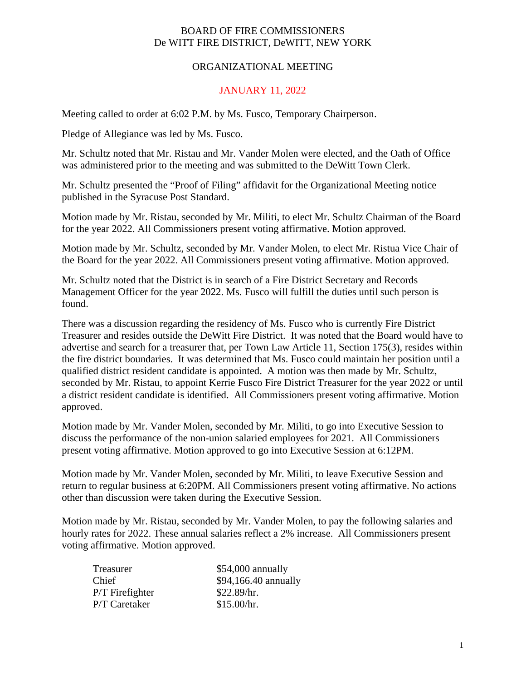## BOARD OF FIRE COMMISSIONERS De WITT FIRE DISTRICT, DeWITT, NEW YORK

## ORGANIZATIONAL MEETING

## JANUARY 11, 2022

Meeting called to order at 6:02 P.M. by Ms. Fusco, Temporary Chairperson.

Pledge of Allegiance was led by Ms. Fusco.

Mr. Schultz noted that Mr. Ristau and Mr. Vander Molen were elected, and the Oath of Office was administered prior to the meeting and was submitted to the DeWitt Town Clerk.

Mr. Schultz presented the "Proof of Filing" affidavit for the Organizational Meeting notice published in the Syracuse Post Standard.

Motion made by Mr. Ristau, seconded by Mr. Militi, to elect Mr. Schultz Chairman of the Board for the year 2022. All Commissioners present voting affirmative. Motion approved.

Motion made by Mr. Schultz, seconded by Mr. Vander Molen, to elect Mr. Ristua Vice Chair of the Board for the year 2022. All Commissioners present voting affirmative. Motion approved.

Mr. Schultz noted that the District is in search of a Fire District Secretary and Records Management Officer for the year 2022. Ms. Fusco will fulfill the duties until such person is found.

There was a discussion regarding the residency of Ms. Fusco who is currently Fire District Treasurer and resides outside the DeWitt Fire District. It was noted that the Board would have to advertise and search for a treasurer that, per Town Law Article 11, Section 175(3), resides within the fire district boundaries. It was determined that Ms. Fusco could maintain her position until a qualified district resident candidate is appointed. A motion was then made by Mr. Schultz, seconded by Mr. Ristau, to appoint Kerrie Fusco Fire District Treasurer for the year 2022 or until a district resident candidate is identified. All Commissioners present voting affirmative. Motion approved.

Motion made by Mr. Vander Molen, seconded by Mr. Militi, to go into Executive Session to discuss the performance of the non-union salaried employees for 2021. All Commissioners present voting affirmative. Motion approved to go into Executive Session at 6:12PM.

Motion made by Mr. Vander Molen, seconded by Mr. Militi, to leave Executive Session and return to regular business at 6:20PM. All Commissioners present voting affirmative. No actions other than discussion were taken during the Executive Session.

Motion made by Mr. Ristau, seconded by Mr. Vander Molen, to pay the following salaries and hourly rates for 2022. These annual salaries reflect a 2% increase. All Commissioners present voting affirmative. Motion approved.

| Treasurer       | $$54,000$ annually   |  |
|-----------------|----------------------|--|
| Chief           | \$94,166.40 annually |  |
| P/T Firefighter | \$22.89/hr.          |  |
| P/T Caretaker   | \$15.00/hr.          |  |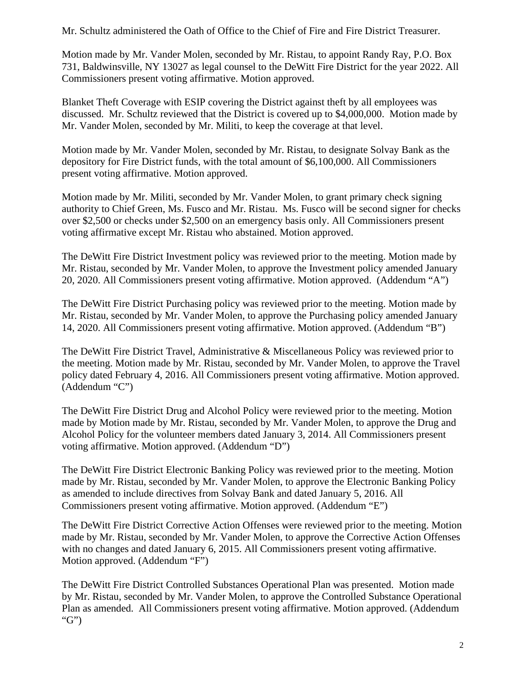Mr. Schultz administered the Oath of Office to the Chief of Fire and Fire District Treasurer.

Motion made by Mr. Vander Molen, seconded by Mr. Ristau, to appoint Randy Ray, P.O. Box 731, Baldwinsville, NY 13027 as legal counsel to the DeWitt Fire District for the year 2022. All Commissioners present voting affirmative. Motion approved.

Blanket Theft Coverage with ESIP covering the District against theft by all employees was discussed. Mr. Schultz reviewed that the District is covered up to \$4,000,000. Motion made by Mr. Vander Molen, seconded by Mr. Militi, to keep the coverage at that level.

Motion made by Mr. Vander Molen, seconded by Mr. Ristau, to designate Solvay Bank as the depository for Fire District funds, with the total amount of \$6,100,000. All Commissioners present voting affirmative. Motion approved.

Motion made by Mr. Militi, seconded by Mr. Vander Molen, to grant primary check signing authority to Chief Green, Ms. Fusco and Mr. Ristau. Ms. Fusco will be second signer for checks over \$2,500 or checks under \$2,500 on an emergency basis only. All Commissioners present voting affirmative except Mr. Ristau who abstained. Motion approved.

The DeWitt Fire District Investment policy was reviewed prior to the meeting. Motion made by Mr. Ristau, seconded by Mr. Vander Molen, to approve the Investment policy amended January 20, 2020. All Commissioners present voting affirmative. Motion approved. (Addendum "A")

The DeWitt Fire District Purchasing policy was reviewed prior to the meeting. Motion made by Mr. Ristau, seconded by Mr. Vander Molen, to approve the Purchasing policy amended January 14, 2020. All Commissioners present voting affirmative. Motion approved. (Addendum "B")

The DeWitt Fire District Travel, Administrative & Miscellaneous Policy was reviewed prior to the meeting. Motion made by Mr. Ristau, seconded by Mr. Vander Molen, to approve the Travel policy dated February 4, 2016. All Commissioners present voting affirmative. Motion approved. (Addendum "C")

The DeWitt Fire District Drug and Alcohol Policy were reviewed prior to the meeting. Motion made by Motion made by Mr. Ristau, seconded by Mr. Vander Molen, to approve the Drug and Alcohol Policy for the volunteer members dated January 3, 2014. All Commissioners present voting affirmative. Motion approved. (Addendum "D")

The DeWitt Fire District Electronic Banking Policy was reviewed prior to the meeting. Motion made by Mr. Ristau, seconded by Mr. Vander Molen, to approve the Electronic Banking Policy as amended to include directives from Solvay Bank and dated January 5, 2016. All Commissioners present voting affirmative. Motion approved. (Addendum "E")

The DeWitt Fire District Corrective Action Offenses were reviewed prior to the meeting. Motion made by Mr. Ristau, seconded by Mr. Vander Molen, to approve the Corrective Action Offenses with no changes and dated January 6, 2015. All Commissioners present voting affirmative. Motion approved. (Addendum "F")

The DeWitt Fire District Controlled Substances Operational Plan was presented. Motion made by Mr. Ristau, seconded by Mr. Vander Molen, to approve the Controlled Substance Operational Plan as amended. All Commissioners present voting affirmative. Motion approved. (Addendum "G")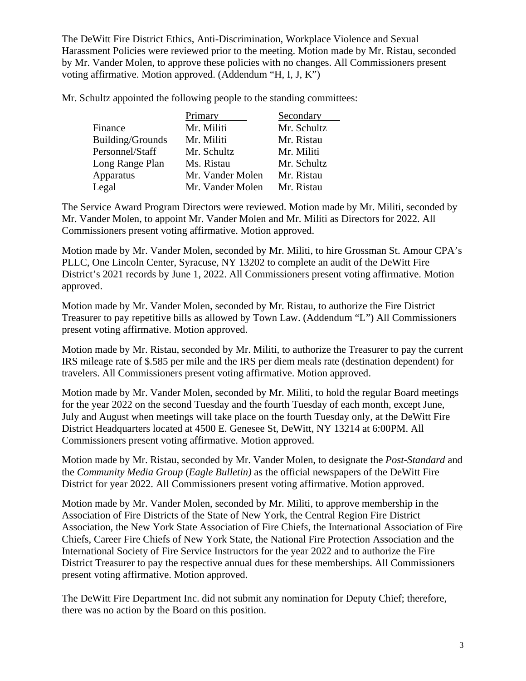The DeWitt Fire District Ethics, Anti-Discrimination, Workplace Violence and Sexual Harassment Policies were reviewed prior to the meeting. Motion made by Mr. Ristau, seconded by Mr. Vander Molen, to approve these policies with no changes. All Commissioners present voting affirmative. Motion approved. (Addendum "H, I, J, K")

Mr. Schultz appointed the following people to the standing committees:

|                  | Primary          | Secondary   |
|------------------|------------------|-------------|
| Finance          | Mr. Militi       | Mr. Schultz |
| Building/Grounds | Mr. Militi       | Mr. Ristau  |
| Personnel/Staff  | Mr. Schultz      | Mr. Militi  |
| Long Range Plan  | Ms. Ristau       | Mr. Schultz |
| Apparatus        | Mr. Vander Molen | Mr. Ristau  |
| Legal            | Mr. Vander Molen | Mr. Ristau  |

The Service Award Program Directors were reviewed. Motion made by Mr. Militi, seconded by Mr. Vander Molen, to appoint Mr. Vander Molen and Mr. Militi as Directors for 2022. All Commissioners present voting affirmative. Motion approved.

Motion made by Mr. Vander Molen, seconded by Mr. Militi, to hire Grossman St. Amour CPA's PLLC, One Lincoln Center, Syracuse, NY 13202 to complete an audit of the DeWitt Fire District's 2021 records by June 1, 2022. All Commissioners present voting affirmative. Motion approved.

Motion made by Mr. Vander Molen, seconded by Mr. Ristau, to authorize the Fire District Treasurer to pay repetitive bills as allowed by Town Law. (Addendum "L") All Commissioners present voting affirmative. Motion approved.

Motion made by Mr. Ristau, seconded by Mr. Militi, to authorize the Treasurer to pay the current IRS mileage rate of \$.585 per mile and the IRS per diem meals rate (destination dependent) for travelers. All Commissioners present voting affirmative. Motion approved.

Motion made by Mr. Vander Molen, seconded by Mr. Militi, to hold the regular Board meetings for the year 2022 on the second Tuesday and the fourth Tuesday of each month, except June, July and August when meetings will take place on the fourth Tuesday only, at the DeWitt Fire District Headquarters located at 4500 E. Genesee St, DeWitt, NY 13214 at 6:00PM. All Commissioners present voting affirmative. Motion approved.

Motion made by Mr. Ristau, seconded by Mr. Vander Molen, to designate the *Post-Standard* and the *Community Media Group* (*Eagle Bulletin)* as the official newspapers of the DeWitt Fire District for year 2022. All Commissioners present voting affirmative. Motion approved.

Motion made by Mr. Vander Molen, seconded by Mr. Militi, to approve membership in the Association of Fire Districts of the State of New York, the Central Region Fire District Association, the New York State Association of Fire Chiefs, the International Association of Fire Chiefs, Career Fire Chiefs of New York State, the National Fire Protection Association and the International Society of Fire Service Instructors for the year 2022 and to authorize the Fire District Treasurer to pay the respective annual dues for these memberships. All Commissioners present voting affirmative. Motion approved.

The DeWitt Fire Department Inc. did not submit any nomination for Deputy Chief; therefore, there was no action by the Board on this position.